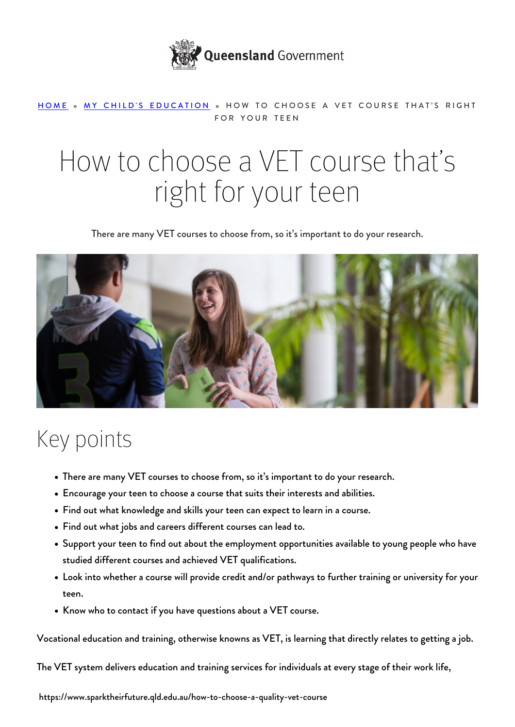

#### [HOME](https://www.sparktheirfuture.qld.edu.au/) » [MY CHILD'S EDUCATION](https://www.sparktheirfuture.qld.edu.au/category/my-childs-school/) » HOW TO CHOOSE A VET COURSE THAT'S RIGHT FOR YOUR TEEN

# How to choose a VET course that's right for your teen

There are many VET courses to choose from, so it's important to do your research.



### Key points

- There are many VET courses to choose from, so it's important to do your research.
- Encourage your teen to choose a course that suits their interests and abilities.
- Find out what knowledge and skills your teen can expect to learn in a course.
- Find out what jobs and careers different courses can lead to.
- Support your teen to find out about the employment opportunities available to young people who have studied different courses and achieved VET qualifications.
- Look into whether a course will provide credit and/or pathways to further training or university for your teen.
- Know who to contact if you have questions about a VET course.

Vocational education and training, otherwise knowns as VET, is learning that directly relates to getting a job.

The VET system delivers education and training services for individuals at every stage of their work life,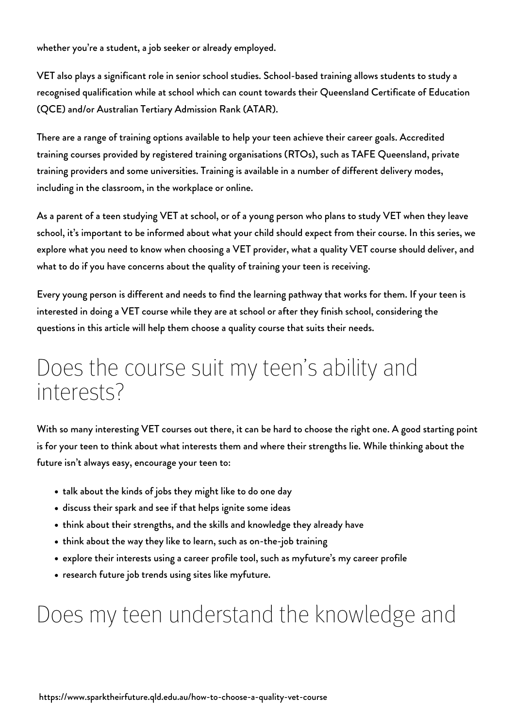whether you're a student, a job seeker or already employed.

VET also plays a significant role in senior school studies. School-based training allows students to study a recognised qualification while at school which can count towards their Queensland Certificate of Education (QCE) and/or Australian Tertiary Admission Rank (ATAR).

There are a range of training options available to help your teen achieve their career goals. Accredited training courses provided by registered training organisations (RTOs), such as TAFE Queensland, private training providers and some universities. Training is available in a number of different delivery modes, including in the classroom, in the workplace or online.

As a parent of a teen studying VET at school, or of a young person who plans to study VET when they leave school, it's important to be informed about what your child should expect from their course. In this series, we explore what you need to know [when choosing a VET provider](https://www.sparktheirfuture.qld.edu.au/how-to-choose-a-provider-for-your-teens-vocational-education-and-training-vet-course/), what a quality VET course should deliver, and what to do if you have [concerns about the quality of training](https://www.sparktheirfuture.qld.edu.au/what-to-do-if-you-have-concerns-about-the-quality-of-your-teens-training/) your teen is receiving.

Every young person is different and needs to find the learning pathway that works for them. If your teen is interested in doing a VET course while they are at school or after they finish school, considering the questions in this article will help them choose a quality course that suits their needs.

#### Does the course suit my teen's ability and interests?

With so many interesting VET courses out there, it can be hard to choose the right one. A good starting point is for your teen to think about what interests them and where their strengths lie. While [thinking about the](https://www.sparktheirfuture.qld.edu.au/whats-going-on-with-my-teen/) [future](https://www.sparktheirfuture.qld.edu.au/whats-going-on-with-my-teen/) isn't always easy, encourage your teen to:

- talk about the kinds of jobs they might like to do one day
- discuss [their spark](https://www.sparktheirfuture.qld.edu.au/help-your-teen-find-their-spark/) and see if that helps ignite some ideas
- think about their strengths, and the skills and knowledge they already have
- think about the way they like to learn, such as on-the-job training
- explore their interests using a career profile tool, such as [myfuture's my career profile](https://myfuture.edu.au/get-started)
- research future job trends using sites like [myfuture](https://myfuture.edu.au/industries).

#### Does my teen understand the knowledge and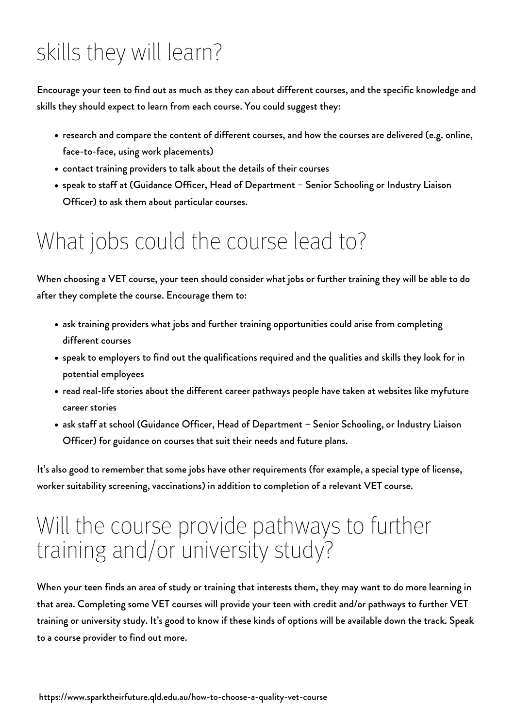## skills they will learn?

Encourage your teen to find out as much as they can about different courses, and the specific knowledge and skills they should expect to learn from each course. You could suggest they:

- research and compare the content of different courses, and how the courses are delivered (e.g. online, face-to-face, using work placements)
- contact training providers to talk about the details of their courses
- speak to staff at (Guidance Officer, Head of Department Senior Schooling or Industry Liaison Officer) to ask them about particular courses.

## What jobs could the course lead to?

When choosing a VET course, your teen should consider what jobs or further training they will be able to do after they complete the course. Encourage them to:

- ask training providers what jobs and further training opportunities could arise from completing different courses
- speak to employers to find out the qualifications required and the qualities and skills they look for in potential employees
- read real-life stories about the different career pathways people have taken at websites like [myfuture](https://myfuture.edu.au/career-stories) [career stories](https://myfuture.edu.au/career-stories)
- ask staff at school (Guidance Officer, Head of Department Senior Schooling, or Industry Liaison Officer) for guidance on courses that suit their needs and future plans.

It's also good to remember that some jobs have other requirements (for example, a special type of license, worker suitability screening, vaccinations) in addition to completion of a relevant VET course.

#### Will the course provide pathways to further training and/or university study?

When your teen finds an area of study or training that interests them, they may want to do more learning in that area. Completing some VET courses will provide your teen with credit and/or pathways to further VET training or university study. It's good to know if these kinds of options will be available down the track. Speak to a course provider to find out more.